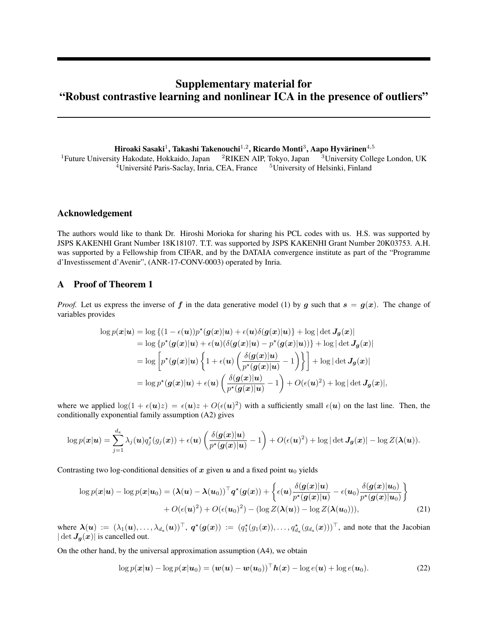# Supplementary material for "Robust contrastive learning and nonlinear ICA in the presence of outliers"

Hiroaki Sasaki $^1$ , Takashi Takenouchi $^{1,2}$ , Ricardo Monti $^3$ , Aapo Hyvärinen $^{4,5}$ 

<sup>1</sup>Future University Hakodate, Hokkaido, Japan <sup>2</sup>RIKEN AIP, Tokyo, Japan <sup>3</sup>University College London, UK <sup>4</sup>Université Paris-Saclay, Inria, CEA, France <sup>5</sup>University of Helsinki, Finland

### Acknowledgement

The authors would like to thank Dr. Hiroshi Morioka for sharing his PCL codes with us. H.S. was supported by JSPS KAKENHI Grant Number 18K18107. T.T. was supported by JSPS KAKENHI Grant Number 20K03753. A.H. was supported by a Fellowship from CIFAR, and by the DATAIA convergence institute as part of the "Programme d'Investissement d'Avenir", (ANR-17-CONV-0003) operated by Inria.

### A Proof of Theorem 1

*Proof.* Let us express the inverse of f in the data generative model (1) by g such that  $s = g(x)$ . The change of variables provides

$$
\log p(\mathbf{x}|\mathbf{u}) = \log \left\{ (1 - \epsilon(\mathbf{u}))p^*(\mathbf{g}(\mathbf{x})|\mathbf{u}) + \epsilon(\mathbf{u})\delta(\mathbf{g}(\mathbf{x})|\mathbf{u}) \right\} + \log |\det \mathbf{J}_{\mathbf{g}}(\mathbf{x})|
$$
  
\n
$$
= \log \left\{ p^*(\mathbf{g}(\mathbf{x})|\mathbf{u}) + \epsilon(\mathbf{u})(\delta(\mathbf{g}(\mathbf{x})|\mathbf{u}) - p^*(\mathbf{g}(\mathbf{x})|\mathbf{u})) \right\} + \log |\det \mathbf{J}_{\mathbf{g}}(\mathbf{x})|
$$
  
\n
$$
= \log \left[ p^*(\mathbf{g}(\mathbf{x})|\mathbf{u}) \left\{ 1 + \epsilon(\mathbf{u}) \left( \frac{\delta(\mathbf{g}(\mathbf{x})|\mathbf{u})}{p^*(\mathbf{g}(\mathbf{x})|\mathbf{u})} - 1 \right) \right\} \right] + \log |\det \mathbf{J}_{\mathbf{g}}(\mathbf{x})|
$$
  
\n
$$
= \log p^*(\mathbf{g}(\mathbf{x})|\mathbf{u}) + \epsilon(\mathbf{u}) \left( \frac{\delta(\mathbf{g}(\mathbf{x})|\mathbf{u})}{p^*(\mathbf{g}(\mathbf{x})|\mathbf{u})} - 1 \right) + O(\epsilon(\mathbf{u})^2) + \log |\det \mathbf{J}_{\mathbf{g}}(\mathbf{x})|,
$$

where we applied  $\log(1 + \epsilon(\mathbf{u})z) = \epsilon(\mathbf{u})z + O(\epsilon(\mathbf{u})^2)$  with a sufficiently small  $\epsilon(\mathbf{u})$  on the last line. Then, the conditionally exponential family assumption (A2) gives

$$
\log p(\boldsymbol{x}|\boldsymbol{u}) = \sum_{j=1}^{d_{\mathbf{x}}} \lambda_j(\boldsymbol{u}) q_j^{\star}(g_j(\boldsymbol{x})) + \epsilon(\boldsymbol{u}) \left( \frac{\delta(\boldsymbol{g}(\boldsymbol{x})|\boldsymbol{u})}{p^{\star}(\boldsymbol{g}(\boldsymbol{x})|\boldsymbol{u})} - 1 \right) + O(\epsilon(\boldsymbol{u})^2) + \log |\det \boldsymbol{J}_{\boldsymbol{g}}(\boldsymbol{x})| - \log Z(\boldsymbol{\lambda}(\boldsymbol{u})).
$$

Contrasting two log-conditional densities of x given  $u$  and a fixed point  $u_0$  yields

$$
\log p(\boldsymbol{x}|\boldsymbol{u}) - \log p(\boldsymbol{x}|\boldsymbol{u}_0) = (\boldsymbol{\lambda}(\boldsymbol{u}) - \boldsymbol{\lambda}(\boldsymbol{u}_0))^{\top} \boldsymbol{q}^{\star}(\boldsymbol{g}(\boldsymbol{x})) + \left\{ \epsilon(\boldsymbol{u}) \frac{\delta(\boldsymbol{g}(\boldsymbol{x})|\boldsymbol{u})}{p^{\star}(\boldsymbol{g}(\boldsymbol{x})|\boldsymbol{u})} - \epsilon(\boldsymbol{u}_0) \frac{\delta(\boldsymbol{g}(\boldsymbol{x})|\boldsymbol{u}_0)}{p^{\star}(\boldsymbol{g}(\boldsymbol{x})|\boldsymbol{u}_0)} \right\} + O(\epsilon(\boldsymbol{u})^2) + O(\epsilon(\boldsymbol{u}_0)^2) - (\log Z(\boldsymbol{\lambda}(\boldsymbol{u})) - \log Z(\boldsymbol{\lambda}(\boldsymbol{u}_0))), \tag{21}
$$

where  $\lambda(u) := (\lambda_1(u), \ldots, \lambda_{d_x}(u))^{\top}$ ,  $q^*(g(x)) := (q_1^*(g_1(x)), \ldots, q_{d_x}(g_{d_x}(x)))^{\top}$ , and note that the Jacobian  $|\det J_g(x)|$  is cancelled out.

On the other hand, by the universal approximation assumption (A4), we obtain

$$
\log p(\boldsymbol{x}|\boldsymbol{u}) - \log p(\boldsymbol{x}|\boldsymbol{u}_0) = (\boldsymbol{w}(\boldsymbol{u}) - \boldsymbol{w}(\boldsymbol{u}_0))^{\top} \boldsymbol{h}(\boldsymbol{x}) - \log e(\boldsymbol{u}) + \log e(\boldsymbol{u}_0). \tag{22}
$$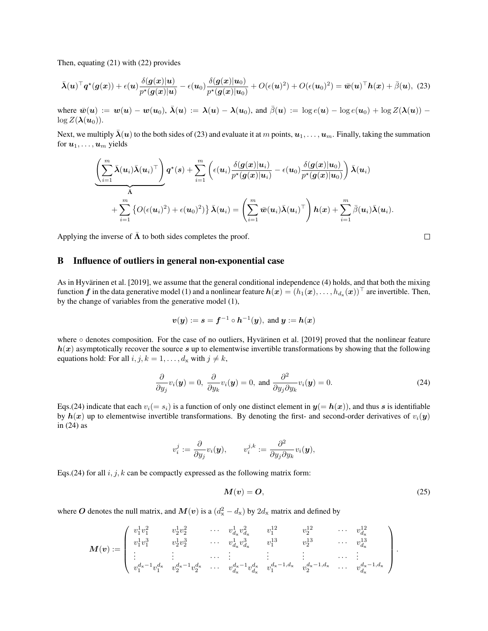Then, equating (21) with (22) provides

$$
\bar{\boldsymbol{\lambda}}(\boldsymbol{u})^{\top}\boldsymbol{q}^{\star}(\boldsymbol{g}(\boldsymbol{x})) + \epsilon(\boldsymbol{u})\frac{\delta(\boldsymbol{g}(\boldsymbol{x})|\boldsymbol{u})}{p^{\star}(\boldsymbol{g}(\boldsymbol{x})|\boldsymbol{u})} - \epsilon(\boldsymbol{u}_0)\frac{\delta(\boldsymbol{g}(\boldsymbol{x})|\boldsymbol{u}_0)}{p^{\star}(\boldsymbol{g}(\boldsymbol{x})|\boldsymbol{u}_0)} + O(\epsilon(\boldsymbol{u})^2) + O(\epsilon(\boldsymbol{u}_0)^2) = \bar{\boldsymbol{w}}(\boldsymbol{u})^{\top}\boldsymbol{h}(\boldsymbol{x}) + \bar{\beta}(\boldsymbol{u}),
$$
(23)

where  $\bar{w}(u) := w(u) - w(u_0)$ ,  $\bar{\lambda}(u) := \lambda(u) - \lambda(u_0)$ , and  $\bar{\beta}(u) := \log e(u) - \log e(u_0) + \log Z(\lambda(u))$  $\log Z(\lambda(u_0)).$ 

Next, we multiply  $\lambda(u)$  to the both sides of (23) and evaluate it at m points,  $u_1, \ldots, u_m$ . Finally, taking the summation for  $u_1, \ldots, u_m$  yields

$$
\underbrace{\left(\sum_{i=1}^m \bar{\lambda}(\boldsymbol{u}_i)\bar{\lambda}(\boldsymbol{u}_i)^\top\right)}_{\bar{\Lambda}} \boldsymbol{q}^\star(s) + \sum_{i=1}^m \left(\epsilon(\boldsymbol{u}_i)\frac{\delta(\boldsymbol{g}(\boldsymbol{x})|\boldsymbol{u}_i)}{p^\star(\boldsymbol{g}(\boldsymbol{x})|\boldsymbol{u}_i)} - \epsilon(\boldsymbol{u}_0)\frac{\delta(\boldsymbol{g}(\boldsymbol{x})|\boldsymbol{u}_0)}{p^\star(\boldsymbol{g}(\boldsymbol{x})|\boldsymbol{u}_0)}\right) \bar{\lambda}(\boldsymbol{u}_i) \\qquad \qquad + \sum_{i=1}^m \left\{O(\epsilon(\boldsymbol{u}_i)^2) + \epsilon(\boldsymbol{u}_0)^2\right\} \bar{\lambda}(\boldsymbol{u}_i) = \left(\sum_{i=1}^m \bar{\boldsymbol{w}}(\boldsymbol{u}_i)\bar{\lambda}(\boldsymbol{u}_i)^\top\right) \boldsymbol{h}(\boldsymbol{x}) + \sum_{i=1}^m \bar{\beta}(\boldsymbol{u}_i)\bar{\lambda}(\boldsymbol{u}_i).
$$

Applying the inverse of  $\bar{\Lambda}$  to both sides completes the proof.

### B Influence of outliers in general non-exponential case

As in Hyvärinen et al. [2019], we assume that the general conditional independence (4) holds, and that both the mixing function  $\bm f$  in the data generative model (1) and a nonlinear feature  $\bm h(\bm x)=(h_1(\bm x),\dots,h_{d_\mathbf{x}}(\bm x))^\top$  are invertible. Then, by the change of variables from the generative model (1),

$$
\boldsymbol{v}(\boldsymbol{y}):=\boldsymbol{s}=\boldsymbol{f}^{-1}\circ\boldsymbol{h}^{-1}(\boldsymbol{y}),\text{ and }\boldsymbol{y}:=\boldsymbol{h}(\boldsymbol{x})
$$

where  $\circ$  denotes composition. For the case of no outliers, Hyvärinen et al. [2019] proved that the nonlinear feature  $h(x)$  asymptotically recover the source s up to elementwise invertible transformations by showing that the following equations hold: For all  $i, j, k = 1, \ldots, d_x$  with  $j \neq k$ ,

$$
\frac{\partial}{\partial y_j} v_i(\mathbf{y}) = 0, \ \frac{\partial}{\partial y_k} v_i(\mathbf{y}) = 0, \text{ and } \frac{\partial^2}{\partial y_j \partial y_k} v_i(\mathbf{y}) = 0.
$$
 (24)

Eqs.(24) indicate that each  $v_i(= s_i)$  is a function of only one distinct element in  $y(= h(x))$ , and thus s is identifiable by  $h(x)$  up to elementwise invertible transformations. By denoting the first- and second-order derivatives of  $v_i(y)$ in (24) as

$$
v_i^j := \frac{\partial}{\partial y_j} v_i(\mathbf{y}), \qquad v_i^{j,k} := \frac{\partial^2}{\partial y_j \partial y_k} v_i(\mathbf{y}),
$$

Eqs.(24) for all  $i, j, k$  can be compactly expressed as the following matrix form:

$$
M(v) = O,\t(25)
$$

where O denotes the null matrix, and  $M(v)$  is a  $(d_x^2 - d_x)$  by  $2d_x$  matrix and defined by

$$
\boldsymbol{M}(\boldsymbol{v}) := \left( \begin{array}{ccccccccc} v_1^1 v_1^2 & v_2^1 v_2^2 & \cdots & v_{d_x}^1 v_{d_x}^2 & v_1^{12} & v_2^{12} & \cdots & v_{d_x}^{12} \\ v_1^1 v_1^3 & v_2^1 v_2^3 & \cdots & v_{d_x}^1 v_{d_x}^3 & v_1^{13} & v_2^{13} & \cdots & v_{d_x}^{13} \\ \vdots & \vdots & \ddots & \vdots & \vdots & \vdots & \ddots & \vdots \\ v_1^{d_x-1} v_1^{d_x} & v_2^{d_x-1} v_2^{d_x} & \cdots & v_{d_x}^{d_x-1} v_{d_x}^{d_x} & v_1^{d_x-1, d_x} & v_2^{d_x-1, d_x} & \cdots & v_{d_x}^{d_x-1, d_x} \end{array} \right).
$$

 $\Box$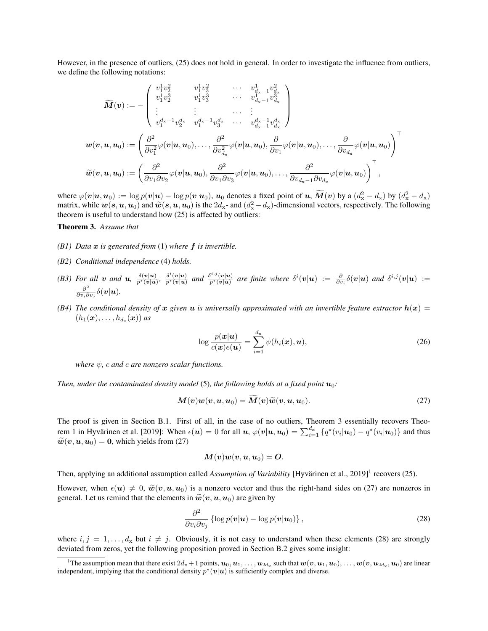However, in the presence of outliers, (25) does not hold in general. In order to investigate the influence from outliers, we define the following notations:

$$
\widetilde{M}(\boldsymbol{v}):=-\begin{pmatrix}v_1^1v_2^2&v_1^1v_3^2&\cdots&v_{d_{\mathbf{x}}-1}^1v_{d_{\mathbf{x}}}^2\\v_1^1v_2^3&v_1^1v_3^3&\cdots&v_{d_{\mathbf{x}}-1}^1v_{d_{\mathbf{x}}}^3\\ \vdots&\vdots&\ddots&\vdots\\ v_1^{d_{\mathbf{x}}-1}v_2^{d_{\mathbf{x}}} &v_1^{d_{\mathbf{x}}-1}v_3^{d_{\mathbf{x}}} &\cdots&v_{d_{\mathbf{x}}-1}^{d_{\mathbf{x}}-1}v_{d_{\mathbf{x}}}^{d_{\mathbf{x}}} \end{pmatrix}\\\boldsymbol{w}(\boldsymbol{v},\boldsymbol{u},\boldsymbol{u}_0):=\left(\frac{\partial^2}{\partial v_1^2}\varphi(\boldsymbol{v}|\boldsymbol{u},\boldsymbol{u}_0),\ldots,\frac{\partial^2}{\partial v_{d_{\mathbf{x}}}}\varphi(\boldsymbol{v}|\boldsymbol{u},\boldsymbol{u}_0),\frac{\partial}{\partial v_1}\varphi(\boldsymbol{v}|\boldsymbol{u},\boldsymbol{u}_0),\ldots,\frac{\partial}{\partial v_{d_{\mathbf{x}}}}\varphi(\boldsymbol{v}|\boldsymbol{u},\boldsymbol{u}_0)\right)^\top\\\widetilde{\boldsymbol{w}}(\boldsymbol{v},\boldsymbol{u},\boldsymbol{u}_0):=\left(\frac{\partial^2}{\partial v_1\partial v_2}\varphi(\boldsymbol{v}|\boldsymbol{u},\boldsymbol{u}_0),\frac{\partial^2}{\partial v_1\partial v_3}\varphi(\boldsymbol{v}|\boldsymbol{u},\boldsymbol{u}_0),\ldots,\frac{\partial^2}{\partial v_{d_{\mathbf{x}}-1\partial v_{d_{\mathbf{x}}}}}\varphi(\boldsymbol{v}|\boldsymbol{u},\boldsymbol{u}_0)\right)^\top,
$$

where  $\varphi(\mathbf{v}|\mathbf{u}, \mathbf{u}_0) := \log p(\mathbf{v}|\mathbf{u}) - \log p(\mathbf{v}|\mathbf{u}_0)$ ,  $\mathbf{u}_0$  denotes a fixed point of  $\mathbf{u}, \tilde{\mathbf{M}}(\mathbf{v})$  by a  $(d_{\mathbf{x}}^2 - d_{\mathbf{x}})$  by  $(d_{\mathbf{x}}^2 - d_{\mathbf{x}})$ matrix, while  $w(s, u, u_0)$  and  $\widetilde{w}(s, u, u_0)$  is the  $2d_x$ - and  $(d_x^2 - d_x)$ -dimensional vectors, respectively. The following theorem is useful to understand how (25) is affected by outliers: theorem is useful to understand how (25) is affected by outliers:

#### Theorem 3. *Assume that*

- *(B1) Data* x *is generated from* (1) *where* f *is invertible.*
- *(B2) Conditional independence* (4) *holds.*
- *(B3) For all v and u*,  $\frac{\delta(v|u)}{p^*(v|u)}, \frac{\delta^i(v|u)}{p^*(v|u)}$  *and*  $\frac{\delta^{i,j}(v|u)}{p^*(v|u)}$  $\frac{\partial}{\partial v^{i,j}(v|\mathbf{u})}$  are finite where  $\delta^{i}(\mathbf{v}|\mathbf{u}) := \frac{\partial}{\partial v_{i}}\delta(\mathbf{v}|\mathbf{u})$  and  $\delta^{i,j}(\mathbf{v}|\mathbf{u}) :=$  $\partial^2$  $\frac{\partial^2}{\partial v_i \partial v_j} \delta(\bm{v}|\bm{u}).$
- (B4) The conditional density of x given u is universally approximated with an invertible feature extractor  $h(x)$  =  $(h_1(\boldsymbol{x}), \ldots, h_{d_{\boldsymbol{x}}}(\boldsymbol{x}))$  as

$$
\log \frac{p(\boldsymbol{x}|\boldsymbol{u})}{c(\boldsymbol{x})e(\boldsymbol{u})} = \sum_{i=1}^{d_{\mathbf{x}}} \psi(h_i(\boldsymbol{x}), \boldsymbol{u}),
$$
\n(26)

*where*  $\psi$ *, c and e are nonzero scalar functions.* 

*Then, under the contaminated density model* (5)*, the following holds at a fixed point*  $u_0$ :

$$
\mathbf{M}(\mathbf{v})\mathbf{w}(\mathbf{v},\mathbf{u},\mathbf{u}_0)=\mathbf{M}(\mathbf{v})\widetilde{\mathbf{w}}(\mathbf{v},\mathbf{u},\mathbf{u}_0).
$$
 (27)

The proof is given in Section B.1. First of all, in the case of no outliers, Theorem 3 essentially recovers Theorem 1 in Hyvärinen et al. [2019]: When  $\epsilon(\bm{u}) = 0$  for all  $\bm{u}, \varphi(\bm{v}|\bm{u},\bm{u}_0) = \sum_{i=1}^{d_{\mathbf{x}}} \{q^\star(v_i|\bm{u}_0) - q^\star(v_i|\bm{u}_0)\}$  and thus  $\widetilde{\mathbf{w}}(\mathbf{v},\mathbf{u},\mathbf{u}_0) = \mathbf{0}$ , which yields from (27)

$$
\boldsymbol{M}(\boldsymbol{v})\boldsymbol{w}(\boldsymbol{v},\boldsymbol{u},\boldsymbol{u}_0)=\boldsymbol{O}.
$$

Then, applying an additional assumption called *Assumption of Variability* [Hyvärinen et al., 2019]<sup>1</sup> recovers (25).

However, when  $\epsilon(\mathbf{u}) \neq 0$ ,  $\widetilde{\mathbf{w}}(\mathbf{v},\mathbf{u},\mathbf{u}_0)$  is a nonzero vector and thus the right-hand sides on (27) are nonzeros in general. Let us remind that the elements in  $\tilde{w}(v, u, u_0)$  are given by

$$
\frac{\partial^2}{\partial v_i \partial v_j} \left\{ \log p(\boldsymbol{v}|\boldsymbol{u}) - \log p(\boldsymbol{v}|\boldsymbol{u}_0) \right\},\tag{28}
$$

where  $i, j = 1, \ldots, d_x$  but  $i \neq j$ . Obviously, it is not easy to understand when these elements (28) are strongly deviated from zeros, yet the following proposition proved in Section B.2 gives some insight:

<sup>&</sup>lt;sup>1</sup>The assumption mean that there exist  $2d_x + 1$  points,  $u_0, u_1, \ldots, u_{2d_x}$  such that  $w(v, u_1, u_0), \ldots, w(v, u_{2d_x}, u_0)$  are linear independent, implying that the conditional density  $p^*(v|u)$  is sufficiently complex and diverse.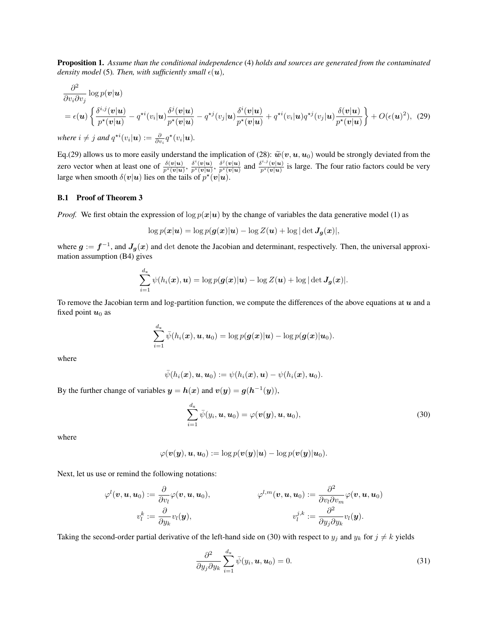Proposition 1. *Assume than the conditional independence* (4) *holds and sources are generated from the contaminated density model* (5). Then, with sufficiently small  $\epsilon(\mathbf{u})$ ,

$$
\frac{\partial^2}{\partial v_i \partial v_j} \log p(\mathbf{v}|\mathbf{u})
$$
\n
$$
= \epsilon(\mathbf{u}) \left\{ \frac{\delta^{i,j}(\mathbf{v}|\mathbf{u})}{p^*(\mathbf{v}|\mathbf{u})} - q^{*i} (v_i|\mathbf{u}) \frac{\delta^j(\mathbf{v}|\mathbf{u})}{p^*(\mathbf{v}|\mathbf{u})} - q^{*j} (v_j|\mathbf{u}) \frac{\delta^i(\mathbf{v}|\mathbf{u})}{p^*(\mathbf{v}|\mathbf{u})} + q^{*i} (v_i|\mathbf{u}) q^{*j} (v_j|\mathbf{u}) \frac{\delta(\mathbf{v}|\mathbf{u})}{p^*(\mathbf{v}|\mathbf{u})} \right\} + O(\epsilon(\mathbf{u})^2), \tag{29}
$$
\nwhere  $i \neq j$  and  $\alpha^{*i} (v_i|\mathbf{u}) := -\frac{\partial}{\partial} \alpha^*(v_i|\mathbf{u})$ 

where  $i \neq j$  and  $q^{\star i}(v_i|\boldsymbol{u}) := \frac{\partial}{\partial v_i} q^{\star}(v_i|\boldsymbol{u})$ .

Eq.(29) allows us to more easily understand the implication of (28):  $\tilde{w}(v, u, u_0)$  would be strongly deviated from the zero vector when at least one of  $\frac{\delta(v|u)}{p^*(v|u)}, \frac{\delta^i(v|u)}{p^*(v|u)}, \frac{\delta^j(v|u)}{p^*(v|u)}$  and  $\frac{\delta^{i$  $\frac{\partial \phi(v|u)}{\partial r^*(v|u)}$  is large. The four ratio factors could be very large when smooth  $\delta(v|u)$  lies on the tails of  $p^*(v|u)$ .

#### B.1 Proof of Theorem 3

*Proof.* We first obtain the expression of  $\log p(x|u)$  by the change of variables the data generative model (1) as

$$
\log p(\boldsymbol{x}|\boldsymbol{u}) = \log p(\boldsymbol{g}(\boldsymbol{x})|\boldsymbol{u}) - \log Z(\boldsymbol{u}) + \log |\det \boldsymbol{J}_{\boldsymbol{g}}(\boldsymbol{x})|,
$$

where  $g := f^{-1}$ , and  $J_g(x)$  and det denote the Jacobian and determinant, respectively. Then, the universal approximation assumption (B4) gives

$$
\sum_{i=1}^{d_{\mathbf{x}}} \psi(h_i(\boldsymbol{x}), \boldsymbol{u}) = \log p(\boldsymbol{g}(\boldsymbol{x})|\boldsymbol{u}) - \log Z(\boldsymbol{u}) + \log |\det \boldsymbol{J}_{\boldsymbol{g}}(\boldsymbol{x})|.
$$

To remove the Jacobian term and log-partition function, we compute the differences of the above equations at  $u$  and a fixed point  $u_0$  as

$$
\sum_{i=1}^{d_{\mathbf{x}}} \bar{\psi}(h_i(\boldsymbol{x}), \boldsymbol{u}, \boldsymbol{u}_0) = \log p(\boldsymbol{g}(\boldsymbol{x})|\boldsymbol{u}) - \log p(\boldsymbol{g}(\boldsymbol{x})|\boldsymbol{u}_0).
$$

where

$$
\bar{\psi}(h_i(\boldsymbol{x}), \boldsymbol{u}, \boldsymbol{u}_0) := \psi(h_i(\boldsymbol{x}), \boldsymbol{u}) - \psi(h_i(\boldsymbol{x}), \boldsymbol{u}_0).
$$

By the further change of variables  $y = h(x)$  and  $v(y) = g(h^{-1}(y)),$ 

$$
\sum_{i=1}^{d_{\mathbf{x}}} \bar{\psi}(y_i, \boldsymbol{u}, \boldsymbol{u}_0) = \varphi(\boldsymbol{v}(\boldsymbol{y}), \boldsymbol{u}, \boldsymbol{u}_0),
$$
\n(30)

where

$$
\varphi(\boldsymbol{v}(\boldsymbol{y}),\boldsymbol{u},\boldsymbol{u}_0):=\log p(\boldsymbol{v}(\boldsymbol{y})|\boldsymbol{u})-\log p(\boldsymbol{v}(\boldsymbol{y})|\boldsymbol{u}_0).
$$

Next, let us use or remind the following notations:

$$
\varphi^l(\boldsymbol{v}, \boldsymbol{u}, \boldsymbol{u}_0) := \frac{\partial}{\partial v_l} \varphi(\boldsymbol{v}, \boldsymbol{u}, \boldsymbol{u}_0), \hspace{10mm} \varphi^{l,m}(\boldsymbol{v}, \boldsymbol{u}, \boldsymbol{u}_0) := \frac{\partial^2}{\partial v_l \partial v_m} \varphi(\boldsymbol{v}, \boldsymbol{u}, \boldsymbol{u}_0) \\ v^k_l := \frac{\partial}{\partial y_k} v_l(\boldsymbol{y}), \hspace{10mm} v^{j,k}_l := \frac{\partial^2}{\partial y_j \partial y_k} v_l(\boldsymbol{y}).
$$

Taking the second-order partial derivative of the left-hand side on (30) with respect to  $y_j$  and  $y_k$  for  $j \neq k$  yields

$$
\frac{\partial^2}{\partial y_j \partial y_k} \sum_{i=1}^{d_x} \bar{\psi}(y_i, \mathbf{u}, \mathbf{u}_0) = 0.
$$
 (31)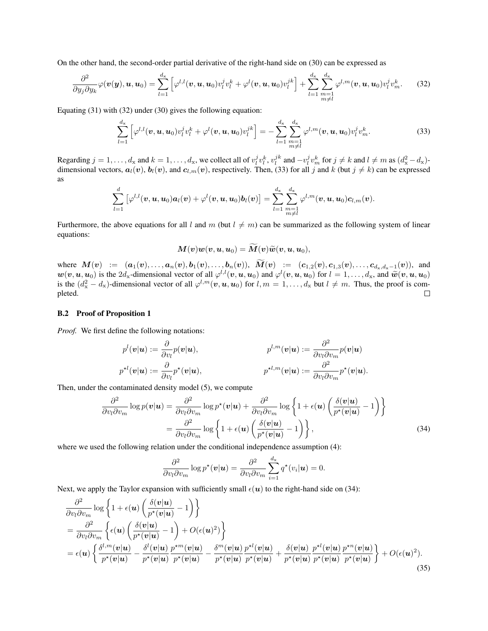On the other hand, the second-order partial derivative of the right-hand side on (30) can be expressed as

$$
\frac{\partial^2}{\partial y_j \partial y_k} \varphi(\mathbf{v}(\mathbf{y}), \mathbf{u}, \mathbf{u}_0) = \sum_{l=1}^{d_x} \left[ \varphi^{l,l}(\mathbf{v}, \mathbf{u}, \mathbf{u}_0) v_l^j v_l^k + \varphi^l(\mathbf{v}, \mathbf{u}, \mathbf{u}_0) v_l^{jk} \right] + \sum_{l=1}^{d_x} \sum_{\substack{m=1 \ m \neq l}}^{d_x} \varphi^{l,m}(\mathbf{v}, \mathbf{u}, \mathbf{u}_0) v_l^j v_m^k. \tag{32}
$$

Equating (31) with (32) under (30) gives the following equation:

$$
\sum_{l=1}^{d_{\mathbf{x}}} \left[ \varphi^{l,l}(\boldsymbol{v}, \boldsymbol{u}, \boldsymbol{u}_0) v_l^j v_l^k + \varphi^l(\boldsymbol{v}, \boldsymbol{u}, \boldsymbol{u}_0) v_l^{jk} \right] = - \sum_{l=1}^{d_{\mathbf{x}}} \sum_{\substack{m=1 \ m \neq l}}^{d_{\mathbf{x}}} \varphi^{l,m}(\boldsymbol{v}, \boldsymbol{u}, \boldsymbol{u}_0) v_l^j v_m^k.
$$
 (33)

Regarding  $j = 1, \ldots, d_x$  and  $k = 1, \ldots, d_x$ , we collect all of  $v_l^j v_l^k$ ,  $v_l^{jk}$  and  $-v_l^j v_m^k$  for  $j \neq k$  and  $l \neq m$  as  $(d_x^2 - d_x)$ dimensional vectors,  $a_l(v)$ ,  $b_l(v)$ , and  $c_{l,m}(v)$ , respectively. Then, (33) for all j and k (but  $j \neq k$ ) can be expressed as

$$
\sum_{l=1}^d\left[\varphi^{l,l}(\boldsymbol{v},\boldsymbol{u},\boldsymbol{u}_0) \boldsymbol{a}_l(\boldsymbol{v})+\varphi^l(\boldsymbol{v},\boldsymbol{u},\boldsymbol{u}_0) \boldsymbol{b}_l(\boldsymbol{v})\right] = \sum_{l=1}^{d_\mathbf{x}}\sum_{\substack{m=1\\m\neq l}}^{d_\mathbf{x}} \varphi^{l,m}(\boldsymbol{v},\boldsymbol{u},\boldsymbol{u}_0) \boldsymbol{c}_{l,m}(\boldsymbol{v}).
$$

Furthermore, the above equations for all l and m (but  $l \neq m$ ) can be summarized as the following system of linear equations:

$$
\boldsymbol{M}(\boldsymbol{v})\boldsymbol{w}(\boldsymbol{v},\boldsymbol{u},\boldsymbol{u}_0)=\widetilde{\boldsymbol{M}}(\boldsymbol{v})\widetilde{\boldsymbol{w}}(\boldsymbol{v},\boldsymbol{u},\boldsymbol{u}_0),
$$

where  $M(v) := (a_1(v), \ldots, a_n(v), b_1(v), \ldots, b_n(v)), M(v) := (c_{1,2}(v), c_{1,3}(v), \ldots, c_{d_x, d_x-1}(v)),$  and  $w(v, u, u_0)$  is the  $2d_x$ -dimensional vector of all  $\varphi^{l,l}(v, u, u_0)$  and  $\varphi^l(v, u, u_0)$  for  $l = 1, ..., d_x$ , and  $\tilde{w}(v, u, u_0)$ <br>is the  $(d_x^2 - d_x)$ -dimensional vector of all  $\varphi^{l,m}(v, u, u_0)$  for  $l, m = 1, ..., d_x$  but  $l \neq m$ . Thu pleted.  $\Box$ 

#### B.2 Proof of Proposition 1

*Proof.* We first define the following notations:

$$
p^{l}(\mathbf{v}|\mathbf{u}) := \frac{\partial}{\partial v_{l}} p(\mathbf{v}|\mathbf{u}), \qquad p^{l,m}(\mathbf{v}|\mathbf{u}) := \frac{\partial^{2}}{\partial v_{l} \partial v_{m}} p(\mathbf{v}|\mathbf{u})
$$
  

$$
p^{\star l}(\mathbf{v}|\mathbf{u}) := \frac{\partial}{\partial v_{l}} p^{\star}(\mathbf{v}|\mathbf{u}), \qquad p^{\star l,m}(\mathbf{v}|\mathbf{u}) := \frac{\partial^{2}}{\partial v_{l} \partial v_{m}} p^{\star}(\mathbf{v}|\mathbf{u}).
$$

Then, under the contaminated density model (5), we compute

$$
\frac{\partial^2}{\partial v_l \partial v_m} \log p(\mathbf{v}|\mathbf{u}) = \frac{\partial^2}{\partial v_l \partial v_m} \log p^*(\mathbf{v}|\mathbf{u}) + \frac{\partial^2}{\partial v_l \partial v_m} \log \left\{ 1 + \epsilon(\mathbf{u}) \left( \frac{\delta(\mathbf{v}|\mathbf{u})}{p^*(\mathbf{v}|\mathbf{u})} - 1 \right) \right\}
$$

$$
= \frac{\partial^2}{\partial v_l \partial v_m} \log \left\{ 1 + \epsilon(\mathbf{u}) \left( \frac{\delta(\mathbf{v}|\mathbf{u})}{p^*(\mathbf{v}|\mathbf{u})} - 1 \right) \right\},\tag{34}
$$

where we used the following relation under the conditional independence assumption  $(4)$ :

$$
\frac{\partial^2}{\partial v_l \partial v_m} \log p^{\star}(\mathbf{v}|\mathbf{u}) = \frac{\partial^2}{\partial v_l \partial v_m} \sum_{i=1}^{d_{\mathbf{x}}} q^{\star}(v_i|\mathbf{u}) = 0.
$$

Next, we apply the Taylor expansion with sufficiently small  $\epsilon(\mathbf{u})$  to the right-hand side on (34):

$$
\frac{\partial^2}{\partial v_l \partial v_m} \log \left\{ 1 + \epsilon(u) \left( \frac{\delta(v|u)}{p^*(v|u)} - 1 \right) \right\} \n= \frac{\partial^2}{\partial v_l \partial v_m} \left\{ \epsilon(u) \left( \frac{\delta(v|u)}{p^*(v|u)} - 1 \right) + O(\epsilon(u)^2) \right\} \n= \epsilon(u) \left\{ \frac{\delta^{l,m}(v|u)}{p^*(v|u)} - \frac{\delta^l(v|u)}{p^*(v|u)} \frac{p^{*m}(v|u)}{p^*(v|u)} - \frac{\delta^m(v|u)}{p^*(v|u)} \frac{p^{*l}(v|u)}{p^*(v|u)} \frac{p^{*l}(v|u)}{p^*(v|u)} \frac{p^{*n}(v|u)}{p^*(v|u)} \frac{p^{*n}(v|u)}{p^*(v|u)} \right\} + O(\epsilon(u)^2).
$$
\n(35)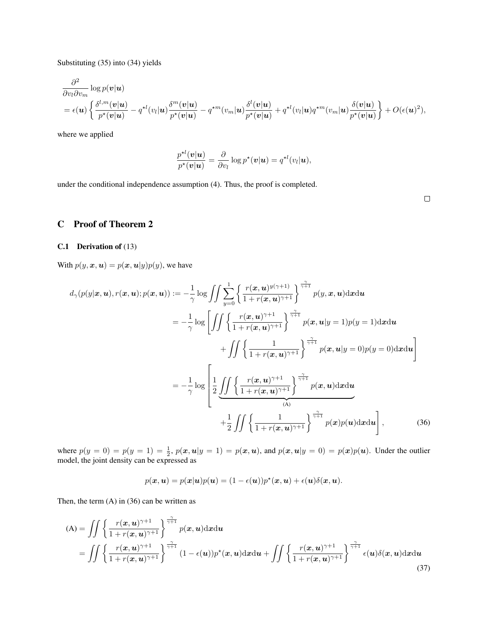Substituting (35) into (34) yields

$$
\frac{\partial^2}{\partial v_l \partial v_m} \log p(\mathbf{v}|\mathbf{u})
$$
\n
$$
= \epsilon(\mathbf{u}) \left\{ \frac{\delta^{l,m}(\mathbf{v}|\mathbf{u})}{p^\star(\mathbf{v}|\mathbf{u})} - q^{\star l}(v_l|\mathbf{u}) \frac{\delta^m(\mathbf{v}|\mathbf{u})}{p^\star(\mathbf{v}|\mathbf{u})} - q^{\star m}(v_m|\mathbf{u}) \frac{\delta^l(\mathbf{v}|\mathbf{u})}{p^\star(\mathbf{v}|\mathbf{u})} + q^{\star l}(v_l|\mathbf{u}) q^{\star m}(v_m|\mathbf{u}) \frac{\delta(\mathbf{v}|\mathbf{u})}{p^\star(\mathbf{v}|\mathbf{u})} \right\} + O(\epsilon(\mathbf{u})^2),
$$

where we applied

$$
\frac{p^{\star l}(\mathbf{v}|\mathbf{u})}{p^{\star}(\mathbf{v}|\mathbf{u})} = \frac{\partial}{\partial v_l} \log p^{\star}(\mathbf{v}|\mathbf{u}) = q^{\star l}(v_l|\mathbf{u}),
$$

under the conditional independence assumption (4). Thus, the proof is completed.

 $\Box$ 

## C Proof of Theorem 2

### C.1 Derivation of (13)

With  $p(y, x, u) = p(x, u|y)p(y)$ , we have

$$
d_{\gamma}(p(y|\boldsymbol{x}, \boldsymbol{u}), r(\boldsymbol{x}, \boldsymbol{u}); p(\boldsymbol{x}, \boldsymbol{u})) := -\frac{1}{\gamma} \log \int \int \sum_{y=0}^{1} \left\{ \frac{r(\boldsymbol{x}, \boldsymbol{u})^{y(\gamma+1)}}{1 + r(\boldsymbol{x}, \boldsymbol{u})^{\gamma+1}} \right\}^{\frac{\gamma}{\gamma+1}} p(y, \boldsymbol{x}, \boldsymbol{u}) \mathrm{d} \boldsymbol{x} \mathrm{d} \boldsymbol{u}
$$

$$
= -\frac{1}{\gamma} \log \left[ \int \int \left\{ \frac{r(\boldsymbol{x}, \boldsymbol{u})^{\gamma+1}}{1 + r(\boldsymbol{x}, \boldsymbol{u})^{\gamma+1}} \right\}^{\frac{\gamma}{\gamma+1}} p(\boldsymbol{x}, \boldsymbol{u} | y = 1) p(y = 1) \mathrm{d} \boldsymbol{x} \mathrm{d} \boldsymbol{u} \right]
$$

$$
+ \int \int \left\{ \frac{1}{1 + r(\boldsymbol{x}, \boldsymbol{u})^{\gamma+1}} \right\}^{\frac{\gamma}{\gamma+1}} p(\boldsymbol{x}, \boldsymbol{u} | y = 0) p(y = 0) \mathrm{d} \boldsymbol{x} \mathrm{d} \boldsymbol{u} \right]
$$

$$
= -\frac{1}{\gamma} \log \left[ \frac{1}{2} \underbrace{\int \int \left\{ \frac{r(\boldsymbol{x}, \boldsymbol{u})^{\gamma+1}}{1 + r(\boldsymbol{x}, \boldsymbol{u})^{\gamma+1}} \right\}^{\frac{\gamma}{\gamma+1}} p(\boldsymbol{x}, \boldsymbol{u}) \mathrm{d} \boldsymbol{x} \mathrm{d} \boldsymbol{u}}_{(\text{A})} + \frac{1}{2} \iint \left\{ \frac{1}{1 + r(\boldsymbol{x}, \boldsymbol{u})^{\gamma+1}} \right\}^{\frac{\gamma}{\gamma+1}} p(\boldsymbol{x}) p(\boldsymbol{u}) \mathrm{d} \boldsymbol{x} \mathrm{d} \boldsymbol{u} \right], \tag{36}
$$

where  $p(y = 0) = p(y = 1) = \frac{1}{2}$ ,  $p(x, u|y = 1) = p(x, u)$ , and  $p(x, u|y = 0) = p(x)p(u)$ . Under the outlier model, the joint density can be expressed as

$$
p(\boldsymbol{x},\boldsymbol{u})=p(\boldsymbol{x}|\boldsymbol{u})p(\boldsymbol{u})=(1-\epsilon(\boldsymbol{u}))p^{\star}(\boldsymbol{x},\boldsymbol{u})+\epsilon(\boldsymbol{u})\delta(\boldsymbol{x},\boldsymbol{u}).
$$

Then, the term (A) in (36) can be written as

$$
(A) = \iint \left\{ \frac{r(x, u)^{\gamma+1}}{1 + r(x, u)^{\gamma+1}} \right\}^{\frac{\gamma}{\gamma+1}} p(x, u) dx du
$$
  
= 
$$
\iint \left\{ \frac{r(x, u)^{\gamma+1}}{1 + r(x, u)^{\gamma+1}} \right\}^{\frac{\gamma}{\gamma+1}} (1 - \epsilon(u)) p^*(x, u) dx du + \iint \left\{ \frac{r(x, u)^{\gamma+1}}{1 + r(x, u)^{\gamma+1}} \right\}^{\frac{\gamma}{\gamma+1}} \epsilon(u) \delta(x, u) dx du
$$
(37)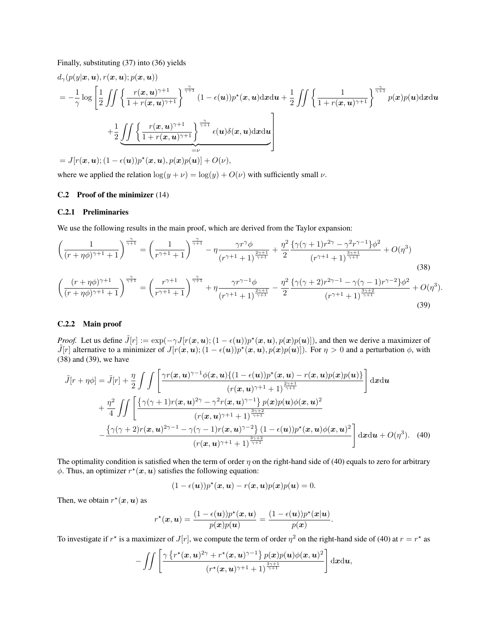Finally, substituting (37) into (36) yields

$$
d_{\gamma}(p(y|\boldsymbol{x}, \boldsymbol{u}), r(\boldsymbol{x}, \boldsymbol{u}); p(\boldsymbol{x}, \boldsymbol{u}))
$$
\n
$$
= -\frac{1}{\gamma} \log \left[ \frac{1}{2} \iint \left\{ \frac{r(\boldsymbol{x}, \boldsymbol{u})^{\gamma+1}}{1 + r(\boldsymbol{x}, \boldsymbol{u})^{\gamma+1}} \right\}^{\frac{\gamma}{\gamma+1}} (1 - \epsilon(\boldsymbol{u})) p^{\star}(\boldsymbol{x}, \boldsymbol{u}) \mathrm{d} \boldsymbol{x} \mathrm{d} \boldsymbol{u} + \frac{1}{2} \iint \left\{ \frac{1}{1 + r(\boldsymbol{x}, \boldsymbol{u})^{\gamma+1}} \right\}^{\frac{\gamma}{\gamma+1}} p(\boldsymbol{x}) p(\boldsymbol{u}) \mathrm{d} \boldsymbol{x} \mathrm{d} \boldsymbol{u}
$$
\n
$$
+ \frac{1}{2} \underbrace{\iint \left\{ \frac{r(\boldsymbol{x}, \boldsymbol{u})^{\gamma+1}}{1 + r(\boldsymbol{x}, \boldsymbol{u})^{\gamma+1}} \right\}^{\frac{\gamma}{\gamma+1}} \epsilon(\boldsymbol{u}) \delta(\boldsymbol{x}, \boldsymbol{u}) \mathrm{d} \boldsymbol{x} \mathrm{d} \boldsymbol{u}}_{=\nu}
$$
\n
$$
= J[r(\boldsymbol{x}, \boldsymbol{u}); (1 - \epsilon(\boldsymbol{u})) p^{\star}(\boldsymbol{x}, \boldsymbol{u}), p(\boldsymbol{x}) p(\boldsymbol{u})] + O(\nu),
$$

where we applied the relation  $\log(y + \nu) = \log(y) + O(\nu)$  with sufficiently small  $\nu$ .

#### C.2 Proof of the minimizer (14)

#### C.2.1 Preliminaries

We use the following results in the main proof, which are derived from the Taylor expansion:

$$
\left(\frac{1}{(r+\eta\phi)^{\gamma+1}+1}\right)^{\frac{\gamma}{\gamma+1}} = \left(\frac{1}{r^{\gamma+1}+1}\right)^{\frac{\gamma}{\gamma+1}} - \eta \frac{\gamma r^{\gamma}\phi}{(r^{\gamma+1}+1)^{\frac{2\gamma+1}{\gamma+1}}} + \frac{\eta^{2}}{2} \frac{\{\gamma(\gamma+1)r^{2\gamma} - \gamma^{2}r^{\gamma-1}\}\phi^{2}}{(r^{\gamma+1}+1)^{\frac{3\gamma+1}{\gamma+1}}} + O(\eta^{3})
$$
\n(38)

$$
\left(\frac{(r+\eta\phi)^{\gamma+1}}{(r+\eta\phi)^{\gamma+1}+1}\right)^{\frac{\gamma}{\gamma+1}} = \left(\frac{r^{\gamma+1}}{r^{\gamma+1}+1}\right)^{\frac{\gamma}{\gamma+1}} + \eta \frac{\gamma r^{\gamma-1}\phi}{(r^{\gamma+1}+1)^{\frac{2\gamma+1}{\gamma+1}}} - \frac{\eta^2}{2} \frac{\{\gamma(\gamma+2)r^{2\gamma-1} - \gamma(\gamma-1)r^{\gamma-2}\}\phi^2}{(r^{\gamma+1}+1)^{\frac{3\gamma+2}{\gamma+1}}} + O(\eta^3).
$$
\n(39)

#### C.2.2 Main proof

*Proof.* Let us define  $\tilde{J}[r] := \exp(-\gamma J[r(\bm{x}, \bm{u}); (1 - \epsilon(\bm{u}))p^*(\bm{x}, \bm{u}), p(\bm{x})p(\bm{u})])$ , and then we derive a maximizer of  $\tilde{J}[r]$  alternative to a minimizer of  $J[r(\bm{x},\bm{u});(1-\epsilon(\bm{u}))p^{\star}(\bm{x},\bm{u}),p(\bm{x})p(\bm{u})])$ . For  $\eta > 0$  and a perturbation  $\phi$ , with (38) and (39), we have

$$
\tilde{J}[r+\eta\phi] = \tilde{J}[r] + \frac{\eta}{2} \int \int \left[ \frac{\gamma r(\boldsymbol{x}, \boldsymbol{u})^{\gamma-1} \phi(\boldsymbol{x}, \boldsymbol{u}) \{ (1-\epsilon(\boldsymbol{u})) p^{\star}(\boldsymbol{x}, \boldsymbol{u}) - r(\boldsymbol{x}, \boldsymbol{u}) p(\boldsymbol{x}) p(\boldsymbol{u}) \} }{(r(\boldsymbol{x}, \boldsymbol{u})^{\gamma+1} + 1)^{\frac{2\gamma+1}{\gamma+1}}} \right] d\boldsymbol{x} d\boldsymbol{u}
$$
\n
$$
+ \frac{\eta^2}{4} \int \int \left[ \frac{\{\gamma(\gamma+1)r(\boldsymbol{x}, \boldsymbol{u})^{2\gamma} - \gamma^2 r(\boldsymbol{x}, \boldsymbol{u})^{\gamma-1} \} p(\boldsymbol{x}) p(\boldsymbol{u}) \phi(\boldsymbol{x}, \boldsymbol{u})^2}{(r(\boldsymbol{x}, \boldsymbol{u})^{\gamma+1} + 1)^{\frac{3\gamma+2}{\gamma+1}}} - \frac{\{\gamma(\gamma+2)r(\boldsymbol{x}, \boldsymbol{u})^{2\gamma-1} - \gamma(\gamma-1)r(\boldsymbol{x}, \boldsymbol{u})^{\gamma-2} \} (1-\epsilon(\boldsymbol{u})) p^{\star}(\boldsymbol{x}, \boldsymbol{u}) \phi(\boldsymbol{x}, \boldsymbol{u})^2}{(r(\boldsymbol{x}, \boldsymbol{u})^{\gamma+1} + 1)^{\frac{3\gamma+2}{\gamma+1}}} d\boldsymbol{x} d\boldsymbol{u} + O(\eta^3). \tag{40}
$$

The optimality condition is satisfied when the term of order  $\eta$  on the right-hand side of (40) equals to zero for arbitrary  $\phi$ . Thus, an optimizer  $r^*(x, u)$  satisfies the following equation:

$$
(1-\epsilon(\boldsymbol{u}))p^{\star}(\boldsymbol{x},\boldsymbol{u})-r(\boldsymbol{x},\boldsymbol{u})p(\boldsymbol{x})p(\boldsymbol{u})=0.
$$

Then, we obtain  $r^*(x, u)$  as

$$
r^{\star}(\boldsymbol{x},\boldsymbol{u})=\frac{(1-\epsilon(\boldsymbol{u}))p^{\star}(\boldsymbol{x},\boldsymbol{u})}{p(\boldsymbol{x})p(\boldsymbol{u})}=\frac{(1-\epsilon(\boldsymbol{u}))p^{\star}(\boldsymbol{x}|\boldsymbol{u})}{p(\boldsymbol{x})}
$$

.

To investigate if  $r^*$  is a maximizer of  $J[r]$ , we compute the term of order  $\eta^2$  on the right-hand side of (40) at  $r = r^*$  as

$$
-\iint \left[ \frac{\gamma \left\{ r^{\star}(\boldsymbol{x},\boldsymbol{u})^{2\gamma} + r^{\star}(\boldsymbol{x},\boldsymbol{u})^{\gamma-1} \right\} p(\boldsymbol{x}) p(\boldsymbol{u}) \phi(\boldsymbol{x},\boldsymbol{u})^2}{(r^{\star}(\boldsymbol{x},\boldsymbol{u})^{\gamma+1}+1)^{\frac{3\gamma+1}{\gamma+1}}} \right] d\boldsymbol{x} d\boldsymbol{u},
$$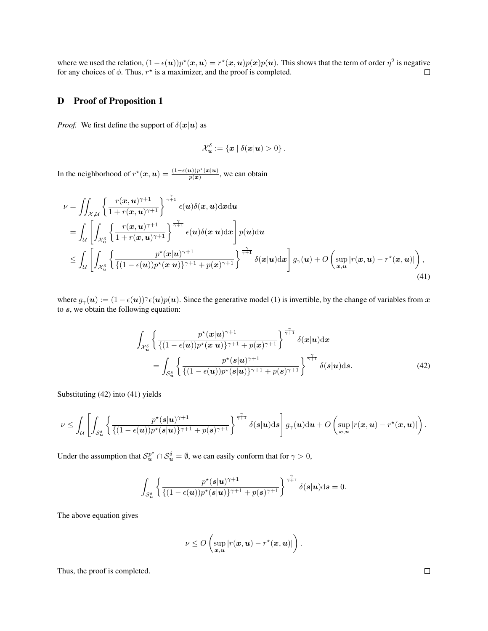where we used the relation,  $(1 - \epsilon(\mathbf{u}))p^*(\mathbf{x}, \mathbf{u}) = r^*(\mathbf{x}, \mathbf{u})p(\mathbf{x})p(\mathbf{u})$ . This shows that the term of order  $\eta^2$  is negative for any choices of  $\phi$ . Thus,  $r^*$  is a maximizer, and the proof is completed.  $\Box$ 

### D Proof of Proposition 1

*Proof.* We first define the support of  $\delta(x|u)$  as

$$
\mathcal{X}^{\delta}_{\boldsymbol{u}}:=\left\{\boldsymbol{x}~|~\delta(\boldsymbol{x}|\boldsymbol{u})>0\right\}.
$$

In the neighborhood of  $r^*(\mathbf{x}, \mathbf{u}) = \frac{(1-\epsilon(\mathbf{u}))p^*(\mathbf{x}|\mathbf{u})}{p(\mathbf{x})}$  $\frac{u_{j}}{p(x)}$ , we can obtain

$$
\nu = \iint_{\mathcal{X},\mathcal{U}} \left\{ \frac{r(x,u)^{\gamma+1}}{1+r(x,u)^{\gamma+1}} \right\}^{\frac{\gamma}{\gamma+1}} \epsilon(u)\delta(x,u) \mathrm{d}x \mathrm{d}u
$$
\n
$$
= \int_{\mathcal{U}} \left[ \int_{\mathcal{X}_{u}^{\delta}} \left\{ \frac{r(x,u)^{\gamma+1}}{1+r(x,u)^{\gamma+1}} \right\}^{\frac{\gamma}{\gamma+1}} \epsilon(u)\delta(x|u) \mathrm{d}x \right] p(u) \mathrm{d}u
$$
\n
$$
\leq \int_{\mathcal{U}} \left[ \int_{\mathcal{X}_{u}^{\delta}} \left\{ \frac{p^{\star}(x|u)^{\gamma+1}}{\{(1-\epsilon(u))p^{\star}(x|u)\}^{\gamma+1}+p(x)^{\gamma+1}} \right\}^{\frac{\gamma}{\gamma+1}} \delta(x|u) \mathrm{d}x \right] g_{\gamma}(u) + O\left( \sup_{x,u} |r(x,u) - r^{\star}(x,u)| \right), \tag{41}
$$

where  $g_{\gamma}(u) := (1 - \epsilon(u))^{\gamma} \epsilon(u) p(u)$ . Since the generative model (1) is invertible, by the change of variables from x to  $s$ , we obtain the following equation:

$$
\int_{\mathcal{X}_{\mathbf{u}}^{\delta}} \left\{ \frac{p^{\star}(\mathbf{x}|\mathbf{u})^{\gamma+1}}{\{(1-\epsilon(\mathbf{u}))p^{\star}(\mathbf{x}|\mathbf{u})\}^{\gamma+1} + p(\mathbf{x})^{\gamma+1}} \right\}^{\frac{\gamma}{\gamma+1}} \delta(\mathbf{x}|\mathbf{u}) d\mathbf{x} \n= \int_{\mathcal{S}_{\mathbf{u}}^{\delta}} \left\{ \frac{p^{\star}(s|\mathbf{u})^{\gamma+1}}{\{(1-\epsilon(\mathbf{u}))p^{\star}(s|\mathbf{u})\}^{\gamma+1} + p(s)^{\gamma+1}} \right\}^{\frac{\gamma}{\gamma+1}} \delta(s|\mathbf{u}) d\mathbf{s}.
$$
\n(42)

Substituting (42) into (41) yields

$$
\nu\leq \int_{\mathcal{U}}\left[\int_{\mathcal{S}_{\bm u}^{\delta}}\left\{\frac{p^{\star}(s|\bm u)^{\gamma+1}}{\{(1-\epsilon(\bm u))p^{\star}(s|\bm u)\}^{\gamma+1}+p(\bm s)^{\gamma+1}}\right\}^{\frac{\gamma}{\gamma+1}}\delta(s|\bm u)\mathrm{d}\bm s\right]g_{\gamma}(\bm u)\mathrm{d}\bm u+O\left(\sup_{\bm x,\bm u}|r(\bm x,\bm u)-r^{\star}(\bm x,\bm u)|\right).
$$

Under the assumption that  $S_u^{p^*} \cap S_u^{\delta} = \emptyset$ , we can easily conform that for  $\gamma > 0$ ,

$$
\int_{\mathcal{S}_{\mathbf{u}}^{\delta}} \left\{ \frac{p^{\star}(s|\mathbf{u})^{\gamma+1}}{\{(1-\epsilon(\mathbf{u}))p^{\star}(s|\mathbf{u})\}^{\gamma+1} + p(\mathbf{s})^{\gamma+1}} \right\}^{\frac{\gamma}{\gamma+1}} \delta(\mathbf{s}|\mathbf{u}) \mathrm{d}\mathbf{s} = 0.
$$

The above equation gives

$$
\nu \leq O\left(\sup_{\bm{x},\bm{u}}|r(\bm{x},\bm{u})-r^{\star}(\bm{x},\bm{u})|\right).
$$

Thus, the proof is completed.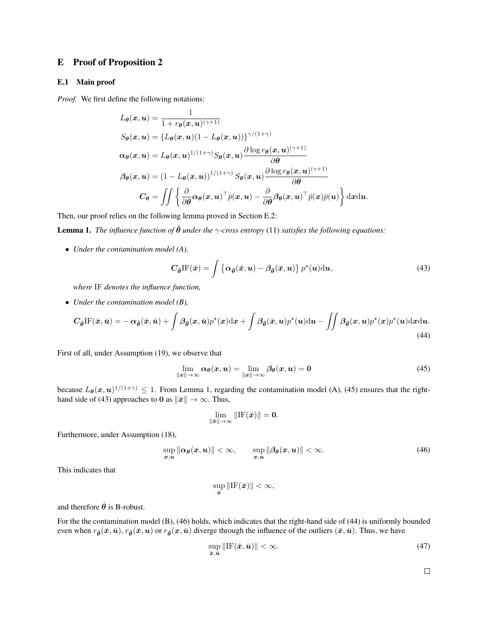### E Proof of Proposition 2

#### E.1 Main proof

*Proof.* We first define the following notations:

$$
L_{\theta}(x, u) = \frac{1}{1 + r_{\theta}(x, u)^{(\gamma+1)}}
$$
  
\n
$$
S_{\theta}(x, u) = \{L_{\theta}(x, u)(1 - L_{\theta}(x, u))\}^{\gamma/(1+\gamma)}
$$
  
\n
$$
\alpha_{\theta}(x, u) = L_{\theta}(x, u)^{1/(1+\gamma)} S_{\theta}(x, u) \frac{\partial \log r_{\theta}(x, u)^{(\gamma+1)}}{\partial \theta}
$$
  
\n
$$
\beta_{\theta}(x, u) = (1 - L_{\theta}(x, u))^{1/(1+\gamma)} S_{\theta}(x, u) \frac{\partial \log r_{\theta}(x, u)^{(\gamma+1)}}{\partial \theta}
$$
  
\n
$$
C_{\theta} = \iint \left\{ \frac{\partial}{\partial \theta} \alpha_{\theta}(x, u)^{\top} \bar{p}(x, u) - \frac{\partial}{\partial \theta} \beta_{\theta}(x, u)^{\top} \bar{p}(x) \bar{p}(u) \right\} dxdu.
$$

Then, our proof relies on the following lemma proved in Section E.2:

**Lemma 1.** *The influence function of*  $\hat{\theta}$  *under the*  $\gamma$ *-cross entropy* (11) *satisfies the following equations:* 

• *Under the contamination model (A),*

$$
C_{\hat{\theta}} \text{IF}(\bar{x}) = \int \left\{ \alpha_{\hat{\theta}}(\bar{x}, u) - \beta_{\hat{\theta}}(\bar{x}, u) \right\} p^*(u) \text{d}u,
$$
\n(43)

*where* IF *denotes the influence function,*

• *Under the contamination model (B),*

$$
C_{\hat{\theta}}\text{IF}(\bar{x},\bar{u}) = -\alpha_{\hat{\theta}}(\bar{x},\bar{u}) + \int \beta_{\hat{\theta}}(x,\bar{u})p^*(x)\text{d}x + \int \beta_{\hat{\theta}}(\bar{x},u)p^*(u)\text{d}u - \iint \beta_{\hat{\theta}}(x,u)p^*(x)p^*(u)\text{d}x\text{d}u.
$$
\n(44)

First of all, under Assumption (19), we observe that

$$
\lim_{\|\boldsymbol{x}\| \to \infty} \alpha_{\boldsymbol{\theta}}(\boldsymbol{x}, \boldsymbol{u}) = \lim_{\|\boldsymbol{x}\| \to \infty} \beta_{\boldsymbol{\theta}}(\boldsymbol{x}, \boldsymbol{u}) = 0 \tag{45}
$$

because  $L_{\theta}(x, u)^{1/(1+\gamma)} \leq 1$ . From Lemma 1, regarding the contamination model (A), (45) ensures that the righthand side of (43) approaches to 0 as  $\|\bar{x}\| \to \infty$ . Thus,

$$
\lim_{\|\bar{\bm{x}}\|\to\infty}\|\mathrm{IF}(\bar{\bm{x}})\| = 0.
$$

Furthermore, under Assumption (18),

$$
\sup_{x,u} \|\alpha_{\theta}(x,u)\| < \infty, \qquad \sup_{x,u} \|\beta_{\theta}(x,u)\| < \infty.
$$
 (46)

This indicates that

$$
\sup_{\bar{\bm{x}}} \|\mathrm{IF}(\bar{\bm{x}})\| < \infty,
$$

and therefore  $\hat{\theta}$  is B-robust.

For the the contamination model (B), (46) holds, which indicates that the right-hand side of (44) is uniformly bounded even when  $r_{\hat{\theta}}(\bar{x},\bar{u})$ ,  $r_{\hat{\theta}}(\bar{x},u)$  or  $r_{\hat{\theta}}(x,\bar{u})$  diverge through the influence of the outliers  $(\bar{x},\bar{u})$ . Thus, we have

$$
\sup_{\bar{x},\bar{u}}\|\text{IF}(\bar{x},\bar{u})\| < \infty. \tag{47}
$$

 $\Box$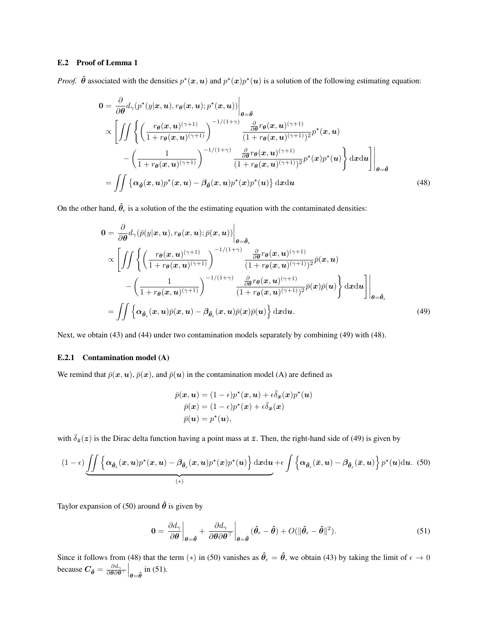### E.2 Proof of Lemma 1

*Proof.*  $\hat{\theta}$  associated with the densities  $p^*(x, u)$  and  $p^*(x)p^*(u)$  is a solution of the following estimating equation:

$$
0 = \frac{\partial}{\partial \theta} d_{\gamma}(p^{\star}(y|\mathbf{x}, \mathbf{u}), r_{\theta}(\mathbf{x}, \mathbf{u}); p^{\star}(\mathbf{x}, \mathbf{u}))\Big|_{\theta = \hat{\theta}}\propto \left[\iint \left\{\left(\frac{r_{\theta}(\mathbf{x}, \mathbf{u})^{(\gamma+1)}}{1 + r_{\theta}(\mathbf{x}, \mathbf{u})^{(\gamma+1)}}\right)^{-1/(1+\gamma)} \frac{\frac{\partial}{\partial \theta} r_{\theta}(\mathbf{x}, \mathbf{u})^{(\gamma+1)}}{(1 + r_{\theta}(\mathbf{x}, \mathbf{u})^{(\gamma+1)})^2} p^{\star}(\mathbf{x}, \mathbf{u})\right.-\left(\frac{1}{1 + r_{\theta}(\mathbf{x}, \mathbf{u})^{(\gamma+1)}}\right)^{-1/(1+\gamma)} \frac{\frac{\partial}{\partial \theta} r_{\theta}(\mathbf{x}, \mathbf{u})^{(\gamma+1)}}{(1 + r_{\theta}(\mathbf{x}, \mathbf{u})^{(\gamma+1)})^2} p^{\star}(\mathbf{x}) p^{\star}(\mathbf{u})\right\} d\mathbf{x} d\mathbf{u}\Big]\Big|_{\theta = \hat{\theta}}= \iint \left\{\alpha_{\hat{\theta}}(\mathbf{x}, \mathbf{u}) p^{\star}(\mathbf{x}, \mathbf{u}) - \beta_{\hat{\theta}}(\mathbf{x}, \mathbf{u}) p^{\star}(\mathbf{x}) p^{\star}(\mathbf{u})\right\} d\mathbf{x} d\mathbf{u}
$$
(48)

On the other hand,  $\hat{\theta}_{\epsilon}$  is a solution of the the estimating equation with the contaminated densities:

$$
0 = \frac{\partial}{\partial \theta} d_{\gamma}(\bar{p}(y|x, u), r_{\theta}(x, u); \bar{p}(x, u))\Big|_{\theta = \hat{\theta}_{\epsilon}}\propto \left[\iint \left\{ \left(\frac{r_{\theta}(x, u)^{(\gamma+1)}}{1 + r_{\theta}(x, u)^{(\gamma+1)}}\right)^{-1/(1+\gamma)} \frac{\frac{\partial}{\partial \theta} r_{\theta}(x, u)^{(\gamma+1)}}{(1 + r_{\theta}(x, u)^{(\gamma+1)})^2} \bar{p}(x, u)\right.-\left(\frac{1}{1 + r_{\theta}(x, u)^{(\gamma+1)}}\right)^{-1/(1+\gamma)} \frac{\frac{\partial}{\partial \theta} r_{\theta}(x, u)^{(\gamma+1)}}{(1 + r_{\theta}(x, u)^{(\gamma+1)})^2} \bar{p}(x) \bar{p}(u)\right\} dxdu\Big]\Big|_{\theta = \hat{\theta}_{\epsilon}}= \iint \left\{ \alpha_{\hat{\theta}_{\epsilon}}(x, u) \bar{p}(x, u) - \beta_{\hat{\theta}_{\epsilon}}(x, u) \bar{p}(x) \bar{p}(u) \right\} dxdu.
$$
(49)

Next, we obtain (43) and (44) under two contamination models separately by combining (49) with (48).

#### E.2.1 Contamination model (A)

We remind that  $\bar{p}(x, u)$ ,  $\bar{p}(x)$ , and  $\bar{p}(u)$  in the contamination model (A) are defined as

$$
\bar{p}(\boldsymbol{x}, \boldsymbol{u}) = (1 - \epsilon)p^{\star}(\boldsymbol{x}, \boldsymbol{u}) + \epsilon \bar{\delta}_{\bar{\boldsymbol{x}}}(\boldsymbol{x})p^{\star}(\boldsymbol{u})
$$

$$
\bar{p}(\boldsymbol{x}) = (1 - \epsilon)p^{\star}(\boldsymbol{x}) + \epsilon \bar{\delta}_{\bar{\boldsymbol{x}}}(\boldsymbol{x})
$$

$$
\bar{p}(\boldsymbol{u}) = p^{\star}(\boldsymbol{u}),
$$

with  $\bar{\delta}_{\bar{z}}(z)$  is the Dirac delta function having a point mass at  $\bar{z}$ . Then, the right-hand side of (49) is given by

$$
(1-\epsilon)\underbrace{\iint \left\{\alpha_{\hat{\theta}_{\epsilon}}(x,u)p^{\star}(x,u)-\beta_{\hat{\theta}_{\epsilon}}(x,u)p^{\star}(x)p^{\star}(u)\right\}dx du}_{(*)}+\epsilon\int \left\{\alpha_{\hat{\theta}_{\epsilon}}(\bar{x},u)-\beta_{\hat{\theta}_{\epsilon}}(\bar{x},u)\right\}p^{\star}(u)du.
$$
(50)

Taylor expansion of (50) around  $\hat{\theta}$  is given by

$$
\mathbf{0} = \left. \frac{\partial d_{\gamma}}{\partial \boldsymbol{\theta}} \right|_{\boldsymbol{\theta} = \hat{\boldsymbol{\theta}}} + \left. \frac{\partial d_{\gamma}}{\partial \boldsymbol{\theta} \partial \boldsymbol{\theta}^{\top}} \right|_{\boldsymbol{\theta} = \hat{\boldsymbol{\theta}}} (\hat{\boldsymbol{\theta}}_{\epsilon} - \hat{\boldsymbol{\theta}}) + O(\|\hat{\boldsymbol{\theta}}_{\epsilon} - \hat{\boldsymbol{\theta}}\|^{2}). \tag{51}
$$

Since it follows from (48) that the term (\*) in (50) vanishes as  $\hat{\theta}_{\epsilon} = \hat{\theta}$ , we obtain (43) by taking the limit of  $\epsilon \to 0$ because  $C_{\hat{\theta}} = \frac{\partial d_{\gamma}}{\partial \theta \partial \theta}$  $\frac{\partial d_{\gamma}}{\partial \boldsymbol{\theta} \partial \boldsymbol{\theta}^{\top}}\Big|_{\boldsymbol{\theta}=\boldsymbol{\hat{\theta}}}$  in (51).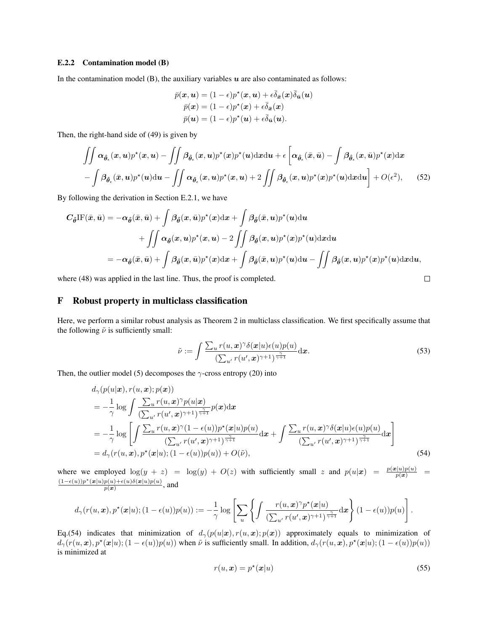#### E.2.2 Contamination model (B)

In the contamination model (B), the auxiliary variables  $u$  are also contaminated as follows:

$$
\bar{p}(\boldsymbol{x}, \boldsymbol{u}) = (1 - \epsilon)p^{\star}(\boldsymbol{x}, \boldsymbol{u}) + \epsilon \bar{\delta}_{\bar{\boldsymbol{x}}}(\boldsymbol{x})\bar{\delta}_{\bar{\boldsymbol{u}}}(\boldsymbol{u}) \n\bar{p}(\boldsymbol{x}) = (1 - \epsilon)p^{\star}(\boldsymbol{x}) + \epsilon \bar{\delta}_{\bar{\boldsymbol{x}}}(\boldsymbol{x}) \n\bar{p}(\boldsymbol{u}) = (1 - \epsilon)p^{\star}(\boldsymbol{u}) + \epsilon \bar{\delta}_{\bar{\boldsymbol{u}}}(\boldsymbol{u}).
$$

Then, the right-hand side of (49) is given by

$$
\iint \alpha_{\hat{\theta}_{\epsilon}}(x, u) p^{\star}(x, u) - \iint \beta_{\hat{\theta}_{\epsilon}}(x, u) p^{\star}(x) p^{\star}(u) \mathrm{d}x \mathrm{d}u + \epsilon \left[ \alpha_{\hat{\theta}_{\epsilon}}(\bar{x}, \bar{u}) - \int \beta_{\hat{\theta}_{\epsilon}}(x, \bar{u}) p^{\star}(x) \mathrm{d}x \right] - \int \beta_{\hat{\theta}_{\epsilon}}(\bar{x}, u) p^{\star}(u) \mathrm{d}u - \iint \alpha_{\hat{\theta}_{\epsilon}}(x, u) p^{\star}(x, u) + 2 \iint \beta_{\hat{\theta}_{\epsilon}}(x, u) p^{\star}(x) p^{\star}(u) \mathrm{d}x \mathrm{d}u \right] + O(\epsilon^2), \quad (52)
$$

By following the derivation in Section E.2.1, we have

$$
C_{\hat{\theta}}\text{IF}(\bar{x},\bar{u}) = -\alpha_{\hat{\theta}}(\bar{x},\bar{u}) + \int \beta_{\hat{\theta}}(x,\bar{u})p^*(x)\text{d}x + \int \beta_{\hat{\theta}}(\bar{x},u)p^*(u)\text{d}u
$$
  
+ 
$$
\iint \alpha_{\hat{\theta}}(x,u)p^*(x,u) - 2\iint \beta_{\hat{\theta}}(x,u)p^*(x)p^*(u)\text{d}x\text{d}u
$$
  
= 
$$
-\alpha_{\hat{\theta}}(\bar{x},\bar{u}) + \int \beta_{\hat{\theta}}(x,\bar{u})p^*(x)\text{d}x + \int \beta_{\hat{\theta}}(\bar{x},u)p^*(u)\text{d}u - \iint \beta_{\hat{\theta}}(x,u)p^*(x)p^*(u)\text{d}x\text{d}u,
$$

where (48) was applied in the last line. Thus, the proof is completed.

### F Robust property in multiclass classification

Here, we perform a similar robust analysis as Theorem 2 in multiclass classification. We first specifically assume that the following  $\tilde{\nu}$  is sufficiently small:

$$
\tilde{\nu} := \int \frac{\sum_{u} r(u, \boldsymbol{x})^{\gamma} \delta(\boldsymbol{x}|u) \epsilon(u) p(u)}{\left(\sum_{u'} r(u', \boldsymbol{x})^{\gamma+1}\right)^{\frac{\gamma}{\gamma+1}}} d\boldsymbol{x}.
$$
\n(53)

 $\Box$ 

Then, the outlier model (5) decomposes the  $\gamma$ -cross entropy (20) into

$$
d_{\gamma}(p(u|\mathbf{x}), r(u, \mathbf{x}); p(\mathbf{x}))
$$
\n
$$
= -\frac{1}{\gamma} \log \int \frac{\sum_{u} r(u, \mathbf{x})^{\gamma} p(u|\mathbf{x})}{(\sum_{u'} r(u', \mathbf{x})^{\gamma+1})^{\frac{\gamma}{\gamma+1}}} p(\mathbf{x}) d\mathbf{x}
$$
\n
$$
= -\frac{1}{\gamma} \log \left[ \int \frac{\sum_{u} r(u, \mathbf{x})^{\gamma} (1 - \epsilon(u)) p^{\star}(\mathbf{x}|u) p(u)}{(\sum_{u'} r(u', \mathbf{x})^{\gamma+1})^{\frac{\gamma}{\gamma+1}}} d\mathbf{x} + \int \frac{\sum_{u} r(u, \mathbf{x})^{\gamma} \delta(\mathbf{x}|u) \epsilon(u) p(u)}{(\sum_{u'} r(u', \mathbf{x})^{\gamma+1})^{\frac{\gamma}{\gamma+1}}} d\mathbf{x} \right]
$$
\n
$$
= d_{\gamma}(r(u, \mathbf{x}), p^{\star}(\mathbf{x}|u); (1 - \epsilon(u)) p(u)) + O(\tilde{\nu}), \tag{54}
$$

where we employed  $\log(y + z)$  =  $\log(y) + O(z)$  with sufficiently small z and  $p(u|\mathbf{x}) = \frac{p(\mathbf{x}|u)p(u)}{p(\mathbf{x})}$  =  $(1-\epsilon(u))p^{\star}(\boldsymbol{x}|u)p(u)+\epsilon(u)\delta(\boldsymbol{x}|u)p(u)$  $\frac{p(u)+\epsilon(u)\sigma(\boldsymbol{x}|u)p(u)}{p(\boldsymbol{x})}$ , and

$$
d_{\gamma}(r(u,\boldsymbol{x}),p^{\star}(\boldsymbol{x}|u);(1-\epsilon(u))p(u)) := -\frac{1}{\gamma}\log\left[\sum_{u}\left\{\int \frac{r(u,\boldsymbol{x})^{\gamma}p^{\star}(\boldsymbol{x}|u)}{(\sum_{u'}r(u',\boldsymbol{x})^{\gamma+1})^{\frac{\gamma}{\gamma+1}}}\mathrm{d}\boldsymbol{x}\right\}(1-\epsilon(u))p(u)\right].
$$

Eq.(54) indicates that minimization of  $d_{\gamma}(p(u|x), r(u, x); p(x))$  approximately equals to minimization of  $d_{\gamma}(r(u, x), p^{*}(x|u); (1 - \epsilon(u))p(u))$  when  $\tilde{\nu}$  is sufficiently small. In addition,  $d_{\gamma}(r(u, x), p^{*}(x|u); (1 - \epsilon(u))p(u))$ is minimized at

$$
r(u, x) = p^*(x|u) \tag{55}
$$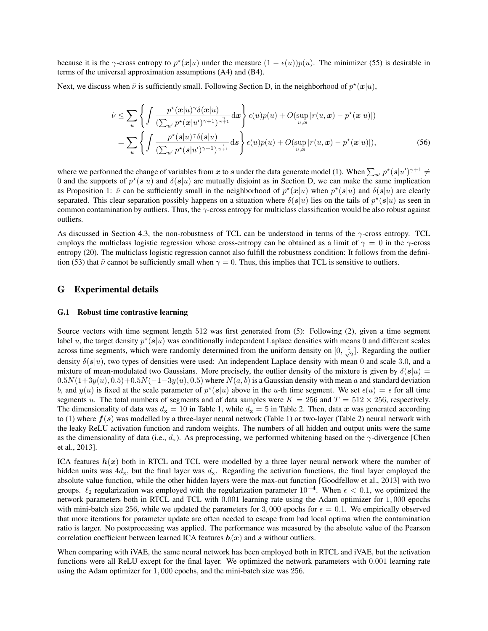because it is the  $\gamma$ -cross entropy to  $p^*(x|u)$  under the measure  $(1 - \epsilon(u))p(u)$ . The minimizer (55) is desirable in terms of the universal approximation assumptions (A4) and (B4).

Next, we discuss when  $\tilde{\nu}$  is sufficiently small. Following Section D, in the neighborhood of  $p^*(x|u)$ ,

$$
\tilde{\nu} \leq \sum_{u} \left\{ \int \frac{p^{\star}(\mathbf{x}|u)^{\gamma}\delta(\mathbf{x}|u)}{(\sum_{u'} p^{\star}(\mathbf{x}|u')^{\gamma+1})^{\frac{\gamma}{\gamma+1}}} d\mathbf{x} \right\} \epsilon(u)p(u) + O(\sup_{u,\mathbf{x}} |r(u,\mathbf{x}) - p^{\star}(\mathbf{x}|u)|)
$$
\n
$$
= \sum_{u} \left\{ \int \frac{p^{\star}(\mathbf{s}|u)^{\gamma}\delta(\mathbf{s}|u)}{(\sum_{u'} p^{\star}(\mathbf{s}|u')^{\gamma+1})^{\frac{\gamma}{\gamma+1}}} d\mathbf{s} \right\} \epsilon(u)p(u) + O(\sup_{u,\mathbf{x}} |r(u,\mathbf{x}) - p^{\star}(\mathbf{x}|u)|), \tag{56}
$$

where we performed the change of variables from x to s under the data generate model (1). When  $\sum_{u'} p^*(s|u')^{\gamma+1} \neq$ 0 and the supports of  $p^*(s|u)$  and  $\delta(s|u)$  are mutually disjoint as in Section D, we can make the same implication as Proposition 1:  $\tilde{\nu}$  can be sufficiently small in the neighborhood of  $p^*(x|u)$  when  $p^*(s|u)$  and  $\delta(s|u)$  are clearly separated. This clear separation possibly happens on a situation where  $\delta(s|u)$  lies on the tails of  $p^*(s|u)$  as seen in common contamination by outliers. Thus, the  $\gamma$ -cross entropy for multiclass classification would be also robust against outliers.

As discussed in Section 4.3, the non-robustness of TCL can be understood in terms of the  $\gamma$ -cross entropy. TCL employs the multiclass logistic regression whose cross-entropy can be obtained as a limit of  $\gamma = 0$  in the  $\gamma$ -cross entropy (20). The multiclass logistic regression cannot also fulfill the robustness condition: It follows from the definition (53) that  $\tilde{\nu}$  cannot be sufficiently small when  $\gamma = 0$ . Thus, this implies that TCL is sensitive to outliers.

### G Experimental details

#### G.1 Robust time contrastive learning

Source vectors with time segment length 512 was first generated from (5): Following (2), given a time segment label u, the target density  $p^*(s|u)$  was conditionally independent Laplace densities with means 0 and different scales across time segments, which were randomly determined from the uniform density on  $[0, \frac{1}{\sqrt{2}}]$  $\frac{1}{2}$ . Regarding the outlier density  $\delta(s|u)$ , two types of densities were used: An independent Laplace density with mean 0 and scale 3.0, and a mixture of mean-modulated two Gaussians. More precisely, the outlier density of the mixture is given by  $\delta(s|u)$  =  $0.5N(1+3y(u), 0.5)+0.5N(-1-3y(u), 0.5)$  where  $N(a, b)$  is a Gaussian density with mean a and standard deviation b, and  $y(u)$  is fixed at the scale parameter of  $p^*(s|u)$  above in the u-th time segment. We set  $\epsilon(u) = \epsilon$  for all time segments u. The total numbers of segments and of data samples were  $K = 256$  and  $T = 512 \times 256$ , respectively. The dimensionality of data was  $d_x = 10$  in Table 1, while  $d_x = 5$  in Table 2. Then, data x was generated according to (1) where  $f(s)$  was modelled by a three-layer neural network (Table 1) or two-layer (Table 2) neural network with the leaky ReLU activation function and random weights. The numbers of all hidden and output units were the same as the dimensionality of data (i.e.,  $d_x$ ). As preprocessing, we performed whitening based on the  $\gamma$ -divergence [Chen et al., 2013].

ICA features  $h(x)$  both in RTCL and TCL were modelled by a three layer neural network where the number of hidden units was  $4d_x$ , but the final layer was  $d_x$ . Regarding the activation functions, the final layer employed the absolute value function, while the other hidden layers were the max-out function [Goodfellow et al., 2013] with two groups.  $\ell_2$  regularization was employed with the regularization parameter  $10^{-4}$ . When  $\epsilon < 0.1$ , we optimized the network parameters both in RTCL and TCL with 0.001 learning rate using the Adam optimizer for 1, 000 epochs with mini-batch size 256, while we updated the parameters for 3,000 epochs for  $\epsilon = 0.1$ . We empirically observed that more iterations for parameter update are often needed to escape from bad local optima when the contamination ratio is larger. No postprocessing was applied. The performance was measured by the absolute value of the Pearson correlation coefficient between learned ICA features  $h(x)$  and s without outliers.

When comparing with iVAE, the same neural network has been employed both in RTCL and iVAE, but the activation functions were all ReLU except for the final layer. We optimized the network parameters with 0.001 learning rate using the Adam optimizer for 1, 000 epochs, and the mini-batch size was 256.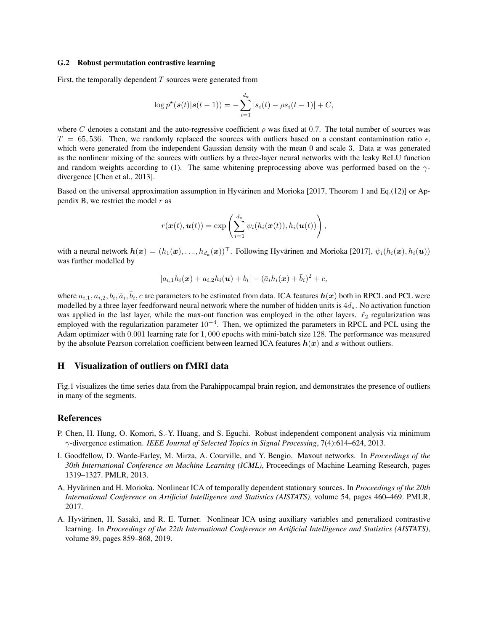#### G.2 Robust permutation contrastive learning

First, the temporally dependent  $T$  sources were generated from

$$
\log p^{\star}(\mathbf{s}(t)|\mathbf{s}(t-1)) = -\sum_{i=1}^{d_{\mathbf{x}}} |s_i(t) - \rho s_i(t-1)| + C,
$$

where C denotes a constant and the auto-regressive coefficient  $\rho$  was fixed at 0.7. The total number of sources was  $T = 65,536$ . Then, we randomly replaced the sources with outliers based on a constant contamination ratio  $\epsilon$ , which were generated from the independent Gaussian density with the mean  $0$  and scale 3. Data  $x$  was generated as the nonlinear mixing of the sources with outliers by a three-layer neural networks with the leaky ReLU function and random weights according to (1). The same whitening preprocessing above was performed based on the  $\gamma$ divergence [Chen et al., 2013].

Based on the universal approximation assumption in Hyvärinen and Morioka [2017, Theorem 1 and Eq.(12)] or Appendix B, we restrict the model  $r$  as

$$
r(\boldsymbol{x}(t),\boldsymbol{u}(t)) = \exp\left(\sum_{i=1}^{d_{\mathbf{x}}} \psi_i(h_i(\boldsymbol{x}(t)),h_i(\boldsymbol{u}(t))\right),
$$

with a neural network  $h(x) = (h_1(x), \ldots, h_{d_x}(x))^{\top}$ . Following Hyvärinen and Morioka [2017],  $\psi_i(h_i(x), h_i(u))$ was further modelled by

$$
|a_{i,1}h_i(\bm{x}) + a_{i,2}h_i(\bm{u}) + b_i| - (\bar{a}_i h_i(\bm{x}) + \bar{b}_i)^2 + c,
$$

where  $a_{i,1}, a_{i,2}, b_i, \bar{a}_i, \bar{b}_i$ , c are parameters to be estimated from data. ICA features  $h(x)$  both in RPCL and PCL were modelled by a three layer feedforward neural network where the number of hidden units is  $4d_x$ . No activation function was applied in the last layer, while the max-out function was employed in the other layers.  $\ell_2$  regularization was employed with the regularization parameter  $10^{-4}$ . Then, we optimized the parameters in RPCL and PCL using the Adam optimizer with 0.001 learning rate for 1, 000 epochs with mini-batch size 128. The performance was measured by the absolute Pearson correlation coefficient between learned ICA features  $h(x)$  and s without outliers.

### H Visualization of outliers on fMRI data

Fig.1 visualizes the time series data from the Parahippocampal brain region, and demonstrates the presence of outliers in many of the segments.

### References

- P. Chen, H. Hung, O. Komori, S.-Y. Huang, and S. Eguchi. Robust independent component analysis via minimum γ-divergence estimation. *IEEE Journal of Selected Topics in Signal Processing*, 7(4):614–624, 2013.
- I. Goodfellow, D. Warde-Farley, M. Mirza, A. Courville, and Y. Bengio. Maxout networks. In *Proceedings of the 30th International Conference on Machine Learning (ICML)*, Proceedings of Machine Learning Research, pages 1319–1327. PMLR, 2013.
- A. Hyvärinen and H. Morioka. Nonlinear ICA of temporally dependent stationary sources. In *Proceedings of the 20th International Conference on Artificial Intelligence and Statistics (AISTATS)*, volume 54, pages 460–469. PMLR, 2017.
- A. Hyvärinen, H. Sasaki, and R. E. Turner. Nonlinear ICA using auxiliary variables and generalized contrastive learning. In *Proceedings of the 22th International Conference on Artificial Intelligence and Statistics (AISTATS)*, volume 89, pages 859–868, 2019.